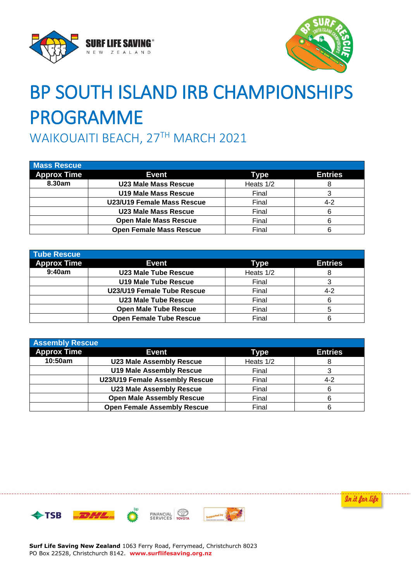



## BP SOUTH ISLAND IRB CHAMPIONSHIPS PROGRAMME

WAIKOUAITI BEACH, 27TH MARCH 2021

| <b>Mass Rescue</b> |                                |             |                |
|--------------------|--------------------------------|-------------|----------------|
| <b>Approx Time</b> | <b>Event</b>                   | <b>Type</b> | <b>Entries</b> |
| 8.30am             | <b>U23 Male Mass Rescue</b>    | Heats 1/2   |                |
|                    | <b>U19 Male Mass Rescue</b>    | Final       |                |
|                    | U23/U19 Female Mass Rescue     | Final       | $4 - 2$        |
|                    | <b>U23 Male Mass Rescue</b>    | Final       |                |
|                    | <b>Open Male Mass Rescue</b>   | Final       |                |
|                    | <b>Open Female Mass Rescue</b> | Final       |                |

| <b>Tube Rescue</b> |                                |             |                |
|--------------------|--------------------------------|-------------|----------------|
| <b>Approx Time</b> | Event                          | <b>Type</b> | <b>Entries</b> |
| 9:40am             | U23 Male Tube Rescue           | Heats 1/2   |                |
|                    | <b>U19 Male Tube Rescue</b>    | Final       |                |
|                    | U23/U19 Female Tube Rescue     | Final       | $4 - 2$        |
|                    | U23 Male Tube Rescue           | Final       |                |
|                    | <b>Open Male Tube Rescue</b>   | Final       | 5              |
|                    | <b>Open Female Tube Rescue</b> | Final       | 6              |

| <b>Assembly Rescue</b> |                                    |             |                |
|------------------------|------------------------------------|-------------|----------------|
| <b>Approx Time</b>     | <b>Event</b>                       | <b>Type</b> | <b>Entries</b> |
| 10:50am                | <b>U23 Male Assembly Rescue</b>    | Heats 1/2   |                |
|                        | <b>U19 Male Assembly Rescue</b>    | Final       |                |
|                        | U23/U19 Female Assembly Rescue     | Final       | $4 - 2$        |
|                        | <b>U23 Male Assembly Rescue</b>    | Final       | 6              |
|                        | <b>Open Male Assembly Rescue</b>   | Final       | 6              |
|                        | <b>Open Female Assembly Rescue</b> | Final       | 6              |







**Surf Life Saving New Zealand** 1063 Ferry Road, Ferrymead, Christchurch 8023 PO Box 22528, Christchurch 8142. **www.surflifesaving.org.nz**

In it for life